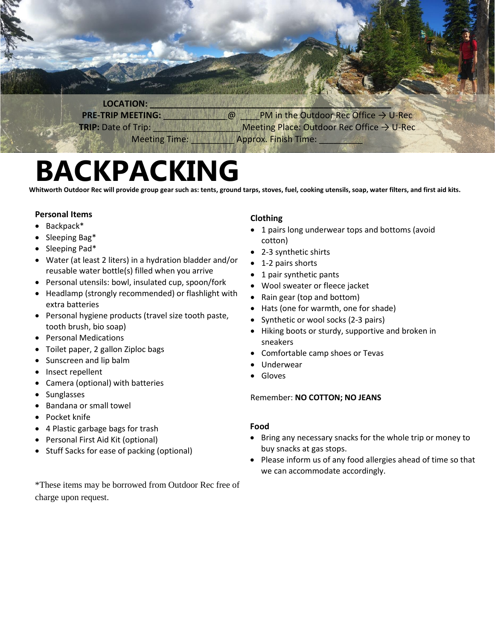

# **BACKPACKING**

**Whitworth Outdoor Rec will provide group gear such as: tents, ground tarps, stoves, fuel, cooking utensils, soap, water filters, and first aid kits.**

#### **Personal Items**

- Backpack\*
- Sleeping Bag\*
- Sleeping Pad\*
- Water (at least 2 liters) in a hydration bladder and/or reusable water bottle(s) filled when you arrive
- Personal utensils: bowl, insulated cup, spoon/fork
- Headlamp (strongly recommended) or flashlight with extra batteries
- Personal hygiene products (travel size tooth paste, tooth brush, bio soap)
- Personal Medications
- Toilet paper, 2 gallon Ziploc bags
- Sunscreen and lip balm
- Insect repellent
- Camera (optional) with batteries
- Sunglasses
- Bandana or small towel
- Pocket knife
- 4 Plastic garbage bags for trash
- Personal First Aid Kit (optional)
- Stuff Sacks for ease of packing (optional)

### **Clothing**

- 1 pairs long underwear tops and bottoms (avoid cotton)
- 2-3 synthetic shirts
- 1-2 pairs shorts
- 1 pair synthetic pants
- Wool sweater or fleece jacket
- Rain gear (top and bottom)
- Hats (one for warmth, one for shade)
- Synthetic or wool socks (2-3 pairs)
- Hiking boots or sturdy, supportive and broken in sneakers
- Comfortable camp shoes or Tevas
- Underwear
- Gloves

#### Remember: **NO COTTON; NO JEANS**

#### **Food**

- Bring any necessary snacks for the whole trip or money to buy snacks at gas stops.
- Please inform us of any food allergies ahead of time so that we can accommodate accordingly.

\*These items may be borrowed from Outdoor Rec free of charge upon request.